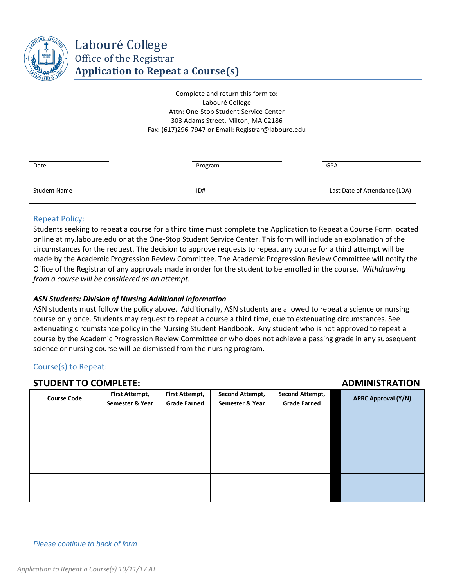

Complete and return this form to: Labouré College Attn: One-Stop Student Service Center 303 Adams Street, Milton, MA 02186 Fax: (617)296-7947 or Email: Registrar@laboure.edu

| Date                | Program | GPA                           |
|---------------------|---------|-------------------------------|
| <b>Student Name</b> | ID#     | Last Date of Attendance (LDA) |

#### Repeat Policy:

Students seeking to repeat a course for a third time must complete the Application to Repeat a Course Form located online at my.laboure.edu or at the One-Stop Student Service Center. This form will include an explanation of the circumstances for the request. The decision to approve requests to repeat any course for a third attempt will be made by the Academic Progression Review Committee. The Academic Progression Review Committee will notify the Office of the Registrar of any approvals made in order for the student to be enrolled in the course. *Withdrawing from a course will be considered as an attempt.* 

# *ASN Students: Division of Nursing Additional Information*

ASN students must follow the policy above. Additionally, ASN students are allowed to repeat a science or nursing course only once. Students may request to repeat a course a third time, due to extenuating circumstances. See extenuating circumstance policy in the Nursing Student Handbook. Any student who is not approved to repeat a course by the Academic Progression Review Committee or who does not achieve a passing grade in any subsequent science or nursing course will be dismissed from the nursing program.

# Course(s) to Repeat:

# **STUDENT TO COMPLETE: ADMINISTRATION**

| <b>Course Code</b> | First Attempt,<br>Semester & Year | <b>First Attempt,</b><br><b>Grade Earned</b> | <b>Second Attempt,</b><br>Semester & Year | <b>Second Attempt,</b><br><b>Grade Earned</b> | <b>APRC Approval (Y/N)</b> |
|--------------------|-----------------------------------|----------------------------------------------|-------------------------------------------|-----------------------------------------------|----------------------------|
|                    |                                   |                                              |                                           |                                               |                            |
|                    |                                   |                                              |                                           |                                               |                            |
|                    |                                   |                                              |                                           |                                               |                            |

*Please continue to back of form*